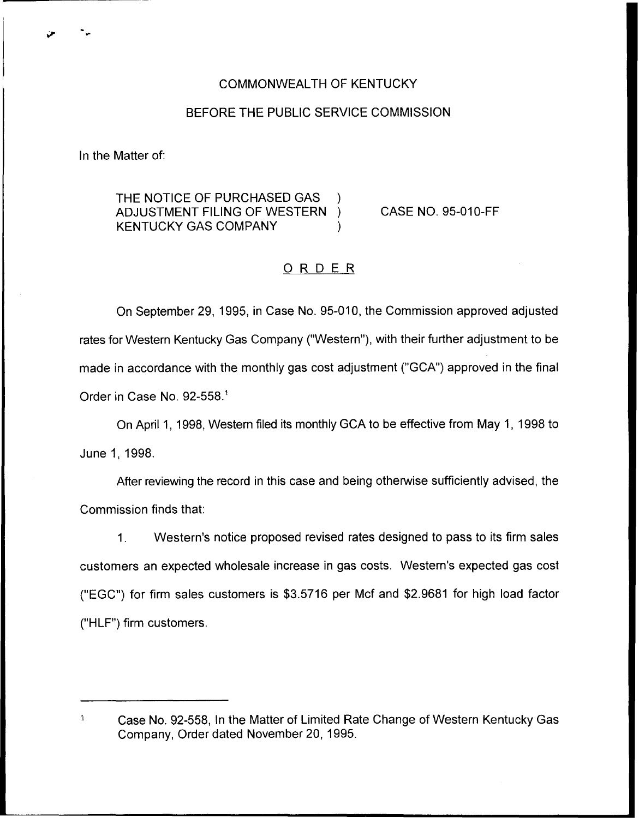# COMMONWEALTH OF KENTUCKY

# BEFORE THE PUBLIC SERVICE COMMISSION

In the Matter of:

THE NOTICE OF PURCHASED GAS ) ADJUSTMENT FILING OF WESTERN ) KENTUCKY GAS COMPANY  $\qquad \qquad$ )

CASE NO. 95-010-FF

# ORDER

On September 29, 1995, in Case No. 95-010, the Commission approved adjusted rates for Western Kentucky Gas Company ("Western"), with their further adjustment to be made in accordance with the monthly gas cost adjustment ("GCA") approved in the final Order in Case No. 92-558.<sup>1</sup>

April 1, 1998, Western filed its monthly GCA to be effective from May 1, 1998 to June 1, 1998.

After reviewing the record in this case and being otherwise sufficiently advised, the Commission finds that:

 $1<sub>1</sub>$ Western's notice proposed revised rates designed to pass to its firm sales customers an expected wholesale increase in gas costs. Western's expected gas cost ("EGC") for firm sales customers is \$3.5716 per Mcf and \$2.9681 for high load factor ("HLF") firm customers.

 $\mathbf 1$ Case No. 92-558, In the Matter of Limited Rate Change of Western Kentucky Gas Company, Order dated November 20, 1995.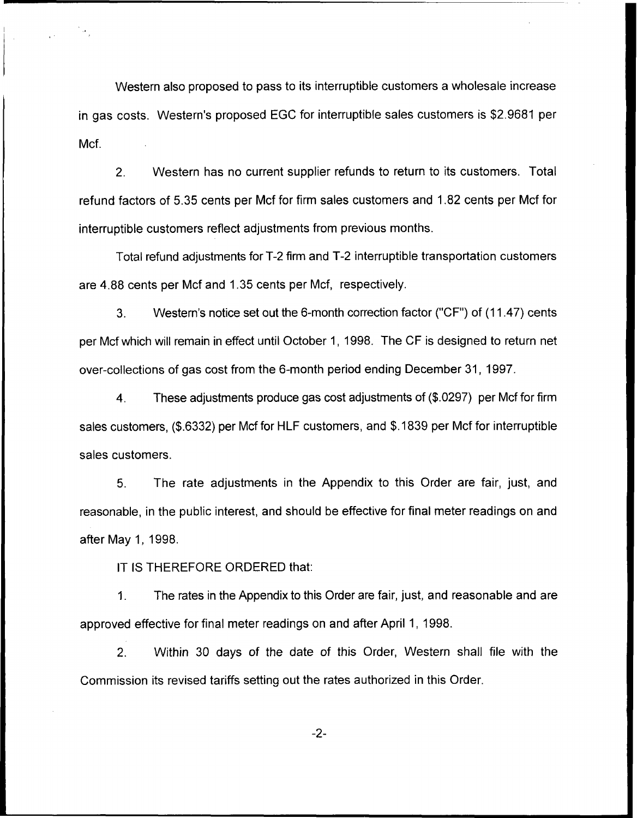Western also proposed to pass to its interruptible customers a wholesale increase in gas costs. Western's proposed EGC for interruptible sales customers is \$2.9681 per Mcf.

2. Western has no current supplier refunds to return to its customers. Total refund factors of 5.35 cents per Mcf for firm sales customers and 1.82 cents per Mcf for interruptible customers reflect adjustments from previous months.

Total refund adjustments for T-2 firm and T-2 interruptible transportation customers are 4.88 cents per Mcf and 1.35 cents per Mcf, respectively.

3. Western's notice set out the 6-month correction factor ("CF") of (11.47) cents per Mcf which will remain in effect until October 1, 1998. The CF is designed to return net over-collections of gas cost from the 6-month period ending December 31, 1997.

4. These adjustments produce gas cost adjustments of (\$.0297) per Mcf for firm sales customers, (\$.6332) per Mcf for HLF customers, and \$.1839 per Mcf for interruptible sales customers.

5. The rate adjustments in the Appendix to this Order are fair, just, and reasonable, in the public interest, and should be effective for final meter readings on and after May 1, 1998.

IT IS THEREFORE ORDERED that:

1. The rates in the Appendix to this Order are fair, just, and reasonable and are approved effective for final meter readings on and after April 1, 1998.

2. Within 3Q days of the date of this Order, Western shall file with the Commission its revised tariffs setting out the rates authorized in this Order.

 $-2-$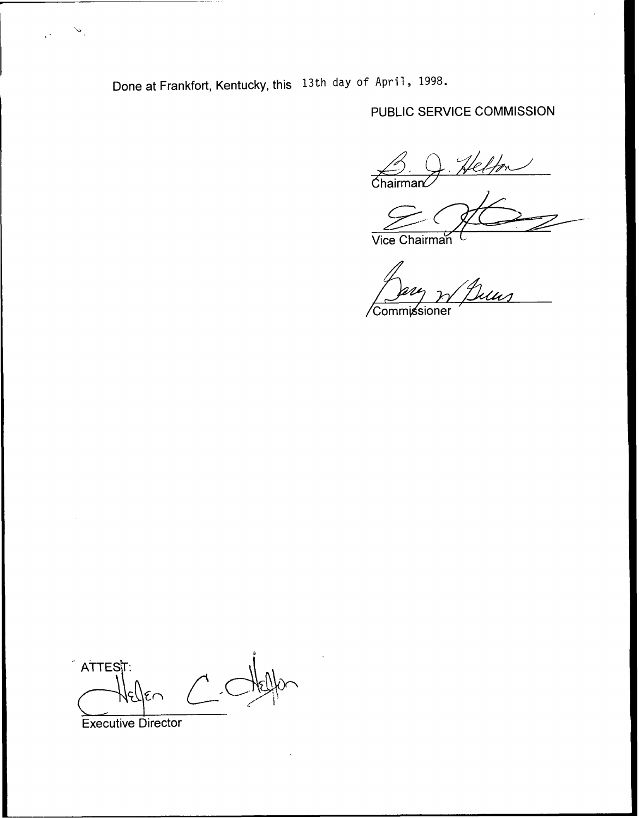Done at Frankfort, Kentucky, this 13th day of April, 1998.

# PUBLIC SERVICE COMMISSION

 $\overbrace{\text{Chairman}}$ 

Vice Chairman

.<br>Uus

Commissioner

 $\hat{A}$ TTEST:  $\epsilon$ 

**Executive Director** 

 $\mathbf{w}_i$ 

 $\mathcal{C}^{\mathcal{L}}$